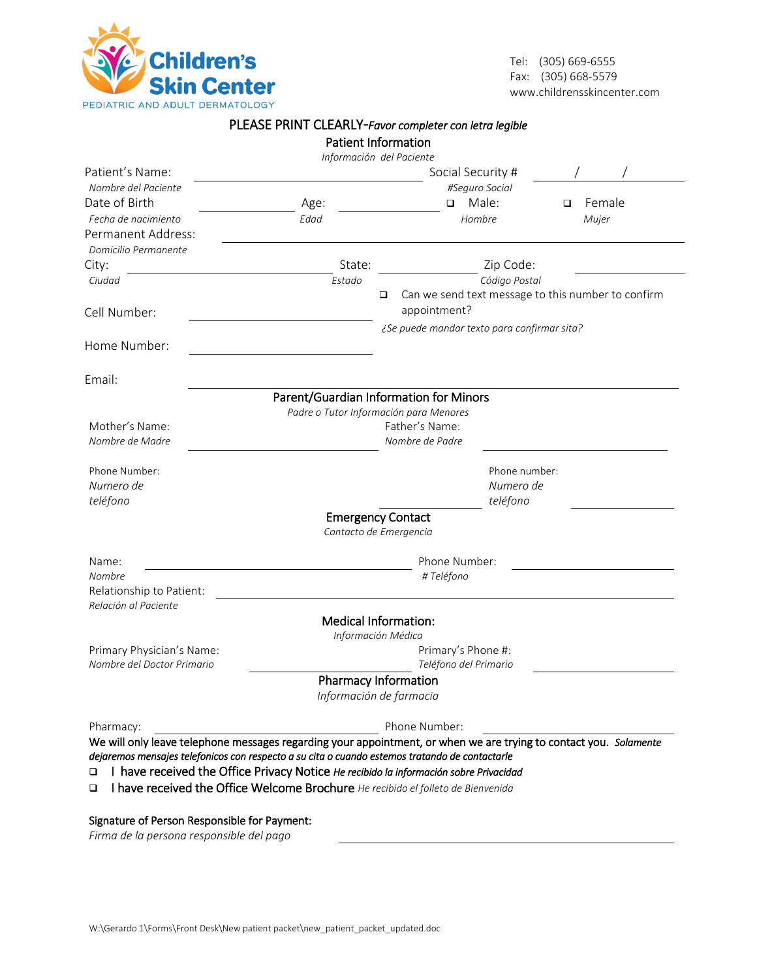

Tel: (305) 669-6555 Fax: (305) 668-5579 www.childrensskincenter.com

|                                                                                                                                                                                                                     |                                             | PLEASE PRINT CLEARLY-Favor completer con letra legible                                |             |  |  |  |
|---------------------------------------------------------------------------------------------------------------------------------------------------------------------------------------------------------------------|---------------------------------------------|---------------------------------------------------------------------------------------|-------------|--|--|--|
|                                                                                                                                                                                                                     |                                             | <b>Patient Information</b>                                                            |             |  |  |  |
|                                                                                                                                                                                                                     |                                             | Información del Paciente                                                              |             |  |  |  |
| Patient's Name:                                                                                                                                                                                                     |                                             | Social Security #                                                                     |             |  |  |  |
| Nombre del Paciente                                                                                                                                                                                                 |                                             | #Seguro Social                                                                        |             |  |  |  |
| Date of Birth                                                                                                                                                                                                       | Age:                                        | Male:<br>$\Box$                                                                       | Female<br>◻ |  |  |  |
| Fecha de nacimiento                                                                                                                                                                                                 | Edad                                        | Hombre                                                                                | Mujer       |  |  |  |
| Permanent Address:                                                                                                                                                                                                  |                                             |                                                                                       |             |  |  |  |
| Domicilio Permanente                                                                                                                                                                                                |                                             |                                                                                       |             |  |  |  |
| City:                                                                                                                                                                                                               | State:                                      | Zip Code:                                                                             |             |  |  |  |
| Ciudad                                                                                                                                                                                                              | Estado                                      | Código Postal                                                                         |             |  |  |  |
|                                                                                                                                                                                                                     |                                             | Can we send text message to this number to confirm<br>□<br>appointment?               |             |  |  |  |
| Cell Number:                                                                                                                                                                                                        |                                             | ¿Se puede mandar texto para confirmar sita?                                           |             |  |  |  |
| Home Number:                                                                                                                                                                                                        |                                             |                                                                                       |             |  |  |  |
|                                                                                                                                                                                                                     |                                             |                                                                                       |             |  |  |  |
| Email:                                                                                                                                                                                                              |                                             | Parent/Guardian Information for Minors                                                |             |  |  |  |
|                                                                                                                                                                                                                     |                                             | Padre o Tutor Información para Menores                                                |             |  |  |  |
| Mother's Name:                                                                                                                                                                                                      |                                             | Father's Name:                                                                        |             |  |  |  |
| Nombre de Madre                                                                                                                                                                                                     |                                             | Nombre de Padre                                                                       |             |  |  |  |
| Phone Number:                                                                                                                                                                                                       |                                             | Phone number:                                                                         |             |  |  |  |
| Numero de                                                                                                                                                                                                           |                                             | Numero de                                                                             |             |  |  |  |
| teléfono                                                                                                                                                                                                            |                                             | teléfono                                                                              |             |  |  |  |
|                                                                                                                                                                                                                     |                                             | <b>Emergency Contact</b>                                                              |             |  |  |  |
|                                                                                                                                                                                                                     |                                             | Contacto de Emergencia                                                                |             |  |  |  |
| Name:                                                                                                                                                                                                               |                                             | Phone Number:                                                                         |             |  |  |  |
| Nombre                                                                                                                                                                                                              | # Teléfono                                  |                                                                                       |             |  |  |  |
| Relationship to Patient:                                                                                                                                                                                            |                                             |                                                                                       |             |  |  |  |
| Relación al Paciente                                                                                                                                                                                                |                                             |                                                                                       |             |  |  |  |
|                                                                                                                                                                                                                     |                                             | <b>Medical Information:</b>                                                           |             |  |  |  |
|                                                                                                                                                                                                                     |                                             | Información Médica                                                                    |             |  |  |  |
| Primary Physician's Name:                                                                                                                                                                                           | Primary's Phone #:<br>Teléfono del Primario |                                                                                       |             |  |  |  |
| Nombre del Doctor Primario                                                                                                                                                                                          |                                             |                                                                                       |             |  |  |  |
|                                                                                                                                                                                                                     |                                             | <b>Pharmacy Information</b><br>Información de farmacia                                |             |  |  |  |
|                                                                                                                                                                                                                     |                                             |                                                                                       |             |  |  |  |
| Pharmacy:                                                                                                                                                                                                           |                                             | Phone Number:                                                                         |             |  |  |  |
| We will only leave telephone messages regarding your appointment, or when we are trying to contact you. Solamente<br>dejaremos mensajes telefonicos con respecto a su cita o cuando estemos tratando de contactarle |                                             |                                                                                       |             |  |  |  |
|                                                                                                                                                                                                                     |                                             | I have received the Office Privacy Notice He recibido la información sobre Privacidad |             |  |  |  |
|                                                                                                                                                                                                                     |                                             |                                                                                       |             |  |  |  |

I have received the Office Welcome Brochure *He recibido el folleto de Bienvenida*

#### Signature of Person Responsible for Payment:

*Firma de la persona responsible del pago*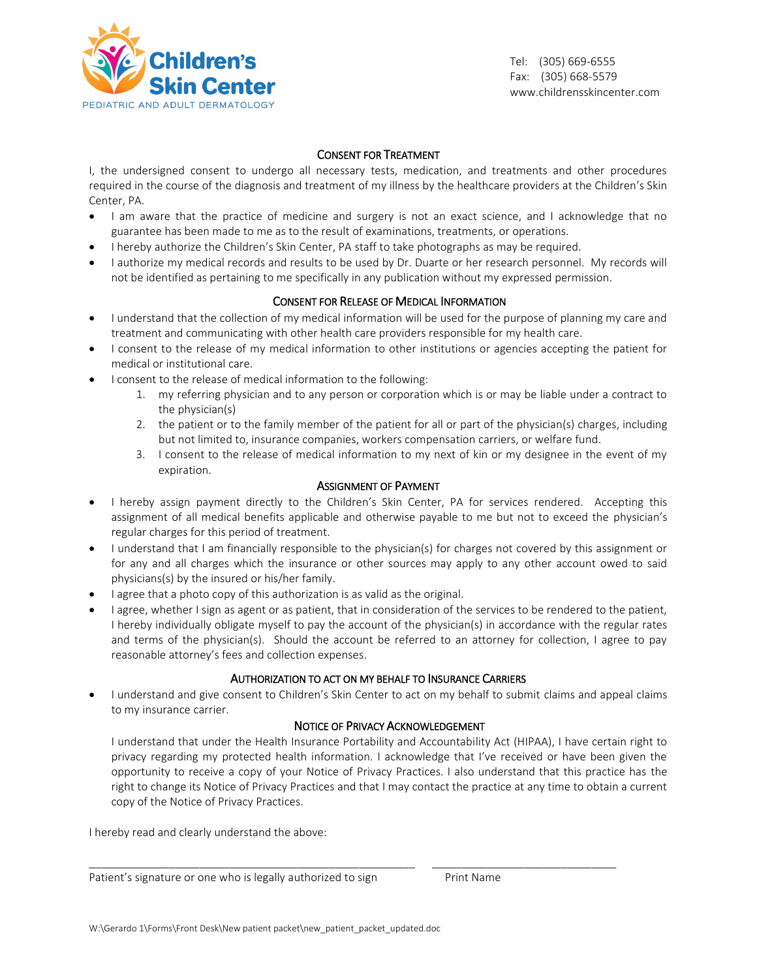

Tel: (305) 669-6555 Fax: (305) 668-5579 www.childrensskincenter.com

### CONSENT FOR TREATMENT

I, the undersigned consent to undergo all necessary tests, medication, and treatments and other procedures required in the course of the diagnosis and treatment of my illness by the healthcare providers at the Children's Skin Center, PA.

- I am aware that the practice of medicine and surgery is not an exact science, and I acknowledge that no guarantee has been made to me as to the result of examinations, treatments, or operations.
- I hereby authorize the Children's Skin Center, PA staff to take photographs as may be required.
- I authorize my medical records and results to be used by Dr. Duarte or her research personnel. My records will not be identified as pertaining to me specifically in any publication without my expressed permission.

# CONSENT FOR RELEASE OF MEDICAL INFORMATION

- I understand that the collection of my medical information will be used for the purpose of planning my care and treatment and communicating with other health care providers responsible for my health care.
- I consent to the release of my medical information to other institutions or agencies accepting the patient for medical or institutional care.
- I consent to the release of medical information to the following:
	- 1. my referring physician and to any person or corporation which is or may be liable under a contract to the physician(s)
	- 2. the patient or to the family member of the patient for all or part of the physician(s) charges, including but not limited to, insurance companies, workers compensation carriers, or welfare fund.
	- 3. I consent to the release of medical information to my next of kin or my designee in the event of my expiration.

#### ASSIGNMENT OF PAYMENT

- I hereby assign payment directly to the Children's Skin Center, PA for services rendered. Accepting this assignment of all medical benefits applicable and otherwise payable to me but not to exceed the physician's regular charges for this period of treatment.
- I understand that I am financially responsible to the physician(s) for charges not covered by this assignment or for any and all charges which the insurance or other sources may apply to any other account owed to said physicians(s) by the insured or his/her family.
- I agree that a photo copy of this authorization is as valid as the original.
- I agree, whether I sign as agent or as patient, that in consideration of the services to be rendered to the patient, I hereby individually obligate myself to pay the account of the physician(s) in accordance with the regular rates and terms of the physician(s). Should the account be referred to an attorney for collection, I agree to pay reasonable attorney's fees and collection expenses.

### AUTHORIZATION TO ACT ON MY BEHALF TO INSURANCE CARRIERS

 I understand and give consent to Children's Skin Center to act on my behalf to submit claims and appeal claims to my insurance carrier.

# NOTICE OF PRIVACY ACKNOWLEDGEMENT

I understand that under the Health Insurance Portability and Accountability Act (HIPAA), I have certain right to privacy regarding my protected health information. I acknowledge that I've received or have been given the opportunity to receive a copy of your Notice of Privacy Practices. I also understand that this practice has the right to change its Notice of Privacy Practices and that I may contact the practice at any time to obtain a current copy of the Notice of Privacy Practices.

\_\_\_\_\_\_\_\_\_\_\_\_\_\_\_\_\_\_\_\_\_\_\_\_\_\_\_\_\_\_\_\_\_\_\_\_\_\_\_\_\_\_\_\_\_\_\_\_\_\_\_\_\_ \_\_\_\_\_\_\_\_\_\_\_\_\_\_\_\_\_\_\_\_\_\_\_\_\_\_\_\_\_\_

I hereby read and clearly understand the above:

Patient's signature or one who is legally authorized to sign Print Name